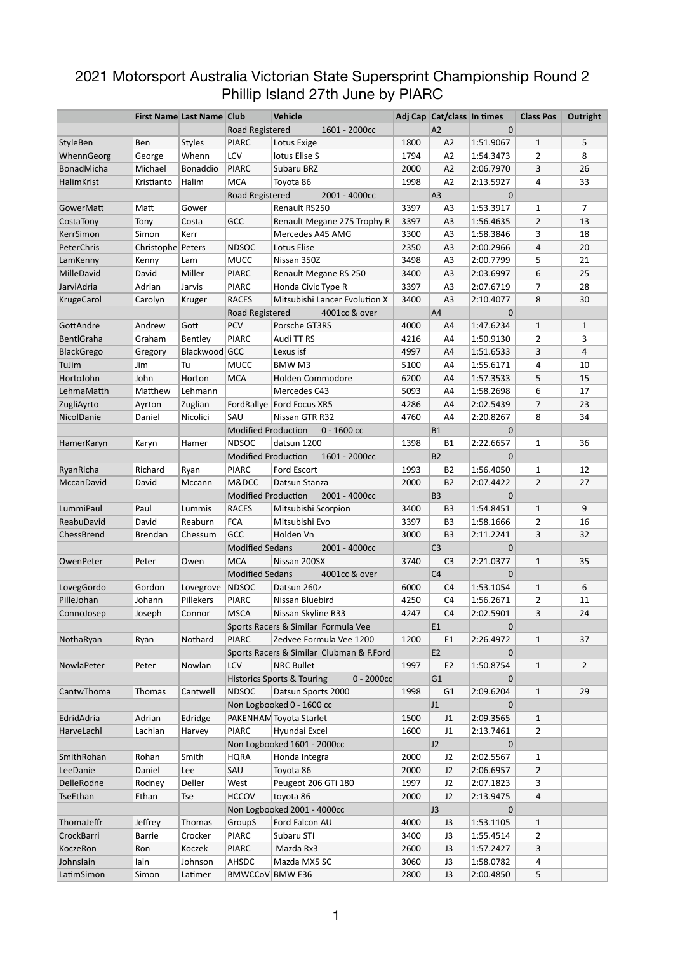## 2021 Motorsport Australia Victorian State Supersprint Championship Round 2 Phillip Island 27th June by PIARC

|                   |                   | <b>First Name Last Name Club</b> |                            | <b>Vehicle</b>                                        |      | Adj Cap Cat/class In times |             | <b>Class Pos</b>               | Outright       |
|-------------------|-------------------|----------------------------------|----------------------------|-------------------------------------------------------|------|----------------------------|-------------|--------------------------------|----------------|
|                   |                   |                                  | Road Registered            | 1601 - 2000cc                                         |      | A2                         | 0           |                                |                |
| <b>StyleBen</b>   | Ben               | <b>Styles</b>                    | <b>PIARC</b>               | Lotus Exige                                           | 1800 | A2                         | 1:51.9067   | $\mathbf{1}$                   | 5              |
| WhennGeorg        | George            | Whenn                            | LCV                        | lotus Elise S                                         | 1794 | A2                         | 1:54.3473   | $\overline{2}$                 | 8              |
| BonadMicha        | Michael           | Bonaddio                         | <b>PIARC</b>               | Subaru BRZ                                            | 2000 | A2                         | 2:06.7970   | 3                              | 26             |
| HalimKrist        | Kristianto        | Halim                            | <b>MCA</b>                 | Toyota 86                                             | 1998 | A2                         | 2:13.5927   | 4                              | 33             |
|                   |                   |                                  | Road Registered            | 2001 - 4000cc                                         |      | A3                         | 0           |                                |                |
| GowerMatt         | Matt              | Gower                            |                            | Renault RS250                                         | 3397 | A3                         | 1:53.3917   | $\mathbf{1}$                   | $\overline{7}$ |
| CostaTony         | Tony              | Costa                            | <b>GCC</b>                 | Renault Megane 275 Trophy R                           | 3397 | A <sub>3</sub>             | 1:56.4635   | $\overline{2}$                 | 13             |
| KerrSimon         | Simon             | Kerr                             |                            | Mercedes A45 AMG                                      | 3300 | A <sub>3</sub>             | 1:58.3846   | 3                              | 18             |
| PeterChris        | Christophe Peters |                                  | <b>NDSOC</b>               | Lotus Elise                                           | 2350 | A <sub>3</sub>             | 2:00.2966   | 4                              | 20             |
| LamKenny          | Kenny             | Lam                              | <b>MUCC</b>                | Nissan 350Z                                           | 3498 | A <sub>3</sub>             | 2:00.7799   | 5                              | 21             |
| MilleDavid        | David             | Miller                           | <b>PIARC</b>               | Renault Megane RS 250                                 | 3400 | A <sub>3</sub>             | 2:03.6997   | 6                              | 25             |
| JarviAdria        | Adrian            | Jarvis                           | <b>PIARC</b>               | Honda Civic Type R                                    | 3397 | A <sub>3</sub>             | 2:07.6719   | $\overline{7}$                 | 28             |
| <b>KrugeCarol</b> | Carolyn           | Kruger                           | <b>RACES</b>               | Mitsubishi Lancer Evolution X                         | 3400 | A <sub>3</sub>             | 2:10.4077   | 8                              | 30             |
|                   |                   |                                  | Road Registered            | 4001cc & over                                         |      | A4                         | $\Omega$    |                                |                |
| GottAndre         | Andrew            | Gott                             | <b>PCV</b>                 | Porsche GT3RS                                         | 4000 | A4                         | 1:47.6234   | $\mathbf{1}$                   | $\mathbf{1}$   |
| BentlGraha        | Graham            | Bentley                          | <b>PIARC</b>               | Audi TT RS                                            | 4216 | A4                         | 1:50.9130   | $\overline{2}$                 | 3              |
| BlackGrego        | Gregory           | Blackwood GCC                    |                            | Lexus isf                                             | 4997 | A <sub>4</sub>             | 1:51.6533   | 3                              | 4              |
| TuJim             | Jim               | Tu                               | <b>MUCC</b>                | <b>BMW M3</b>                                         | 5100 | A4                         | 1:55.6171   | 4                              | 10             |
| HortoJohn         | John              | Horton                           | <b>MCA</b>                 | <b>Holden Commodore</b>                               | 6200 | A <sub>4</sub>             | 1:57.3533   | 5                              | 15             |
| LehmaMatth        | Matthew           | Lehmann                          |                            | Mercedes C43                                          | 5093 | A4                         | 1:58.2698   | 6                              | 17             |
| ZugliAyrto        | Ayrton            | Zuglian                          | FordRallye                 | Ford Focus XR5                                        | 4286 | A <sub>4</sub>             | 2:02.5439   | 7                              | 23             |
| NicolDanie        | Daniel            | Nicolici                         | SAU                        | Nissan GTR R32                                        | 4760 | A4                         | 2:20.8267   | 8                              | 34             |
|                   |                   |                                  | <b>Modified Production</b> | $0 - 1600$ cc                                         |      | <b>B1</b>                  | $\mathbf 0$ |                                |                |
| HamerKaryn        | Karyn             | Hamer                            | <b>NDSOC</b>               | datsun 1200                                           | 1398 | <b>B1</b>                  | 2:22.6657   | $\mathbf{1}$                   | 36             |
|                   |                   |                                  | <b>Modified Production</b> | 1601 - 2000cc                                         |      | <b>B2</b>                  | $\mathbf 0$ |                                |                |
| RyanRicha         | Richard           | Ryan                             | <b>PIARC</b>               | Ford Escort                                           | 1993 | <b>B2</b>                  | 1:56.4050   | $\mathbf{1}$                   | 12             |
| MccanDavid        | David             | Mccann                           | M&DCC                      | Datsun Stanza                                         | 2000 | <b>B2</b>                  | 2:07.4422   | $\overline{2}$                 | 27             |
|                   |                   |                                  | <b>Modified Production</b> | 2001 - 4000cc                                         |      | B <sub>3</sub>             | $\mathbf 0$ |                                |                |
| LummiPaul         | Paul              | Lummis                           | <b>RACES</b>               | Mitsubishi Scorpion                                   | 3400 | B <sub>3</sub>             | 1:54.8451   | $\mathbf{1}$                   | 9              |
| ReabuDavid        | David             | Reaburn                          | <b>FCA</b>                 | Mitsubishi Evo                                        | 3397 | B <sub>3</sub>             | 1:58.1666   | $\overline{2}$                 | 16             |
| ChessBrend        | <b>Brendan</b>    | Chessum                          | <b>GCC</b>                 | Holden Vn                                             | 3000 | B <sub>3</sub>             | 2:11.2241   | 3                              | 32             |
|                   |                   |                                  | <b>Modified Sedans</b>     | 2001 - 4000cc                                         |      | C <sub>3</sub>             | $\Omega$    |                                |                |
| OwenPeter         | Peter             | Owen                             | <b>MCA</b>                 | Nissan 200SX                                          | 3740 | C <sub>3</sub>             | 2:21.0377   | $\mathbf{1}$                   | 35             |
|                   |                   |                                  | <b>Modified Sedans</b>     | 4001cc & over                                         |      | C <sub>4</sub>             | $\Omega$    |                                |                |
| LovegGordo        | Gordon            | Lovegrove                        | <b>NDSOC</b>               | Datsun 260z                                           | 6000 | C <sub>4</sub>             | 1:53.1054   | $\mathbf{1}$                   | 6              |
| PilleJohan        | Johann            | Pillekers                        | <b>PIARC</b>               | Nissan Bluebird                                       | 4250 | C4                         | 1:56.2671   | $\overline{2}$                 | 11             |
| ConnoJosep        | Joseph            | Connor                           | <b>MSCA</b>                | Nissan Skyline R33                                    | 4247 | C <sub>4</sub>             | 2:02.5901   | 3                              | 24             |
|                   |                   |                                  |                            | Sports Racers & Similar Formula Vee                   |      | E1                         | $\mathbf 0$ |                                |                |
| NothaRyan         | Ryan              | Nothard                          | <b>PIARC</b>               | Zedvee Formula Vee 1200                               | 1200 | E <sub>1</sub>             | 2:26.4972   | $\mathbf{1}$                   | 37             |
|                   |                   |                                  |                            | Sports Racers & Similar Clubman & F.Ford              |      | E <sub>2</sub>             | $\Omega$    |                                |                |
| NowlaPeter        | Peter             | Nowlan                           | <b>LCV</b>                 | <b>NRC Bullet</b>                                     | 1997 | E <sub>2</sub>             | 1:50.8754   | $\mathbf{1}$                   | $\overline{2}$ |
|                   |                   |                                  |                            | $0 - 2000cc$<br><b>Historics Sports &amp; Touring</b> |      | G <sub>1</sub>             | 0           |                                |                |
| CantwThoma        | Thomas            | Cantwell                         | <b>NDSOC</b>               | Datsun Sports 2000                                    | 1998 | G1                         | 2:09.6204   | $\mathbf{1}$                   | 29             |
|                   |                   |                                  |                            | Non Logbooked 0 - 1600 cc                             |      | J1                         | $\Omega$    |                                |                |
|                   | Adrian            |                                  |                            |                                                       |      |                            |             |                                |                |
| EdridAdria        |                   | Edridge                          |                            | PAKENHAM Toyota Starlet                               | 1500 | J1                         | 2:09.3565   | $\mathbf{1}$<br>$\overline{2}$ |                |
| HarveLachl        | Lachlan           | Harvey                           | <b>PIARC</b>               | Hyundai Excel                                         | 1600 | J1                         | 2:13.7461   |                                |                |
|                   |                   |                                  |                            | Non Logbooked 1601 - 2000cc                           |      | J2                         | $\mathbf 0$ |                                |                |
| SmithRohan        | Rohan             | Smith                            | <b>HQRA</b>                | Honda Integra                                         | 2000 | J2                         | 2:02.5567   | $\mathbf{1}$                   |                |
| LeeDanie          | Daniel            | Lee                              | SAU                        | Toyota 86                                             | 2000 | J2                         | 2:06.6957   | $\overline{2}$                 |                |
| DelleRodne        | Rodney            | Deller                           | West                       | Peugeot 206 GTi 180                                   | 1997 | J2                         | 2:07.1823   | 3                              |                |
| TseEthan          | Ethan             | <b>Tse</b>                       | <b>HCCOV</b>               | toyota 86                                             | 2000 | J2                         | 2:13.9475   | 4                              |                |
|                   |                   |                                  |                            | Non Logbooked 2001 - 4000cc                           |      | J3                         | $\Omega$    |                                |                |
| ThomaJeffr        | Jeffrey           | Thomas                           | GroupS                     | Ford Falcon AU                                        | 4000 | J3                         | 1:53.1105   | $\mathbf{1}$                   |                |
| CrockBarri        | <b>Barrie</b>     | Crocker                          | <b>PIARC</b>               | Subaru STI                                            | 3400 | J3                         | 1:55.4514   | $\overline{2}$                 |                |
| KoczeRon          | Ron               | Koczek                           | <b>PIARC</b>               | Mazda Rx3                                             | 2600 | J3                         | 1:57.2427   | 3                              |                |
| Johnslain         | lain              | Johnson                          | AHSDC                      | Mazda MX5 SC                                          | 3060 | J3                         | 1:58.0782   | 4                              |                |
| LatimSimon        | Simon             | Latimer                          | BMWCCoV BMW E36            |                                                       | 2800 | J3                         | 2:00.4850   | 5                              |                |